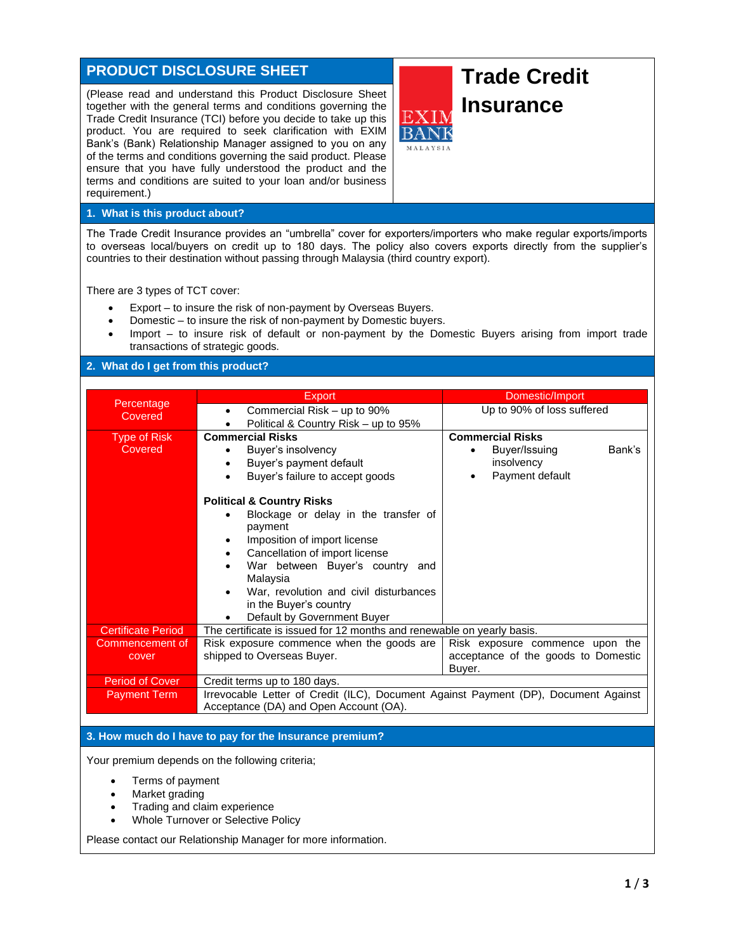## **PRODUCT DISCLOSURE SHEET**

(Please read and understand this Product Disclosure Sheet together with the general terms and conditions governing the Trade Credit Insurance (TCI) before you decide to take up this product. You are required to seek clarification with EXIM Bank's (Bank) Relationship Manager assigned to you on any of the terms and conditions governing the said product. Please ensure that you have fully understood the product and the terms and conditions are suited to your loan and/or business requirement.)

# **Trade Credit Insurance**

### **1. What is this product about?**

The Trade Credit Insurance provides an "umbrella" cover for exporters/importers who make regular exports/imports to overseas local/buyers on credit up to 180 days. The policy also covers exports directly from the supplier's countries to their destination without passing through Malaysia (third country export).

There are 3 types of TCT cover:

- Export to insure the risk of non-payment by Overseas Buyers.
- Domestic to insure the risk of non-payment by Domestic buyers.
- Import to insure risk of default or non-payment by the Domestic Buyers arising from import trade transactions of strategic goods.

### **2. What do I get from this product?**

|                           | <b>Export</b>                                                                       | Domestic/Import                     |  |
|---------------------------|-------------------------------------------------------------------------------------|-------------------------------------|--|
| Percentage<br>Covered     | Commercial Risk – up to 90%                                                         | Up to 90% of loss suffered          |  |
|                           | Political & Country Risk - up to 95%                                                |                                     |  |
| <b>Type of Risk</b>       | <b>Commercial Risks</b>                                                             | <b>Commercial Risks</b>             |  |
| Covered                   | Buyer's insolvency                                                                  | Buyer/Issuing<br>Bank's             |  |
|                           | Buyer's payment default                                                             | insolvency                          |  |
|                           | Buyer's failure to accept goods                                                     | Payment default                     |  |
|                           | <b>Political &amp; Country Risks</b>                                                |                                     |  |
|                           | Blockage or delay in the transfer of<br>payment                                     |                                     |  |
|                           | Imposition of import license                                                        |                                     |  |
|                           | Cancellation of import license                                                      |                                     |  |
|                           | War between Buyer's country and                                                     |                                     |  |
|                           | Malaysia                                                                            |                                     |  |
|                           | War, revolution and civil disturbances                                              |                                     |  |
|                           | in the Buyer's country                                                              |                                     |  |
|                           | Default by Government Buyer                                                         |                                     |  |
| <b>Certificate Period</b> | The certificate is issued for 12 months and renewable on yearly basis.              |                                     |  |
| Commencement of           | Risk exposure commence when the goods are                                           | Risk exposure commence upon the     |  |
| cover                     | shipped to Overseas Buyer.                                                          | acceptance of the goods to Domestic |  |
|                           |                                                                                     | Buyer.                              |  |
| Period of Cover           | Credit terms up to 180 days.                                                        |                                     |  |
| <b>Payment Term</b>       | Irrevocable Letter of Credit (ILC), Document Against Payment (DP), Document Against |                                     |  |
|                           | Acceptance (DA) and Open Account (OA).                                              |                                     |  |

#### **3. How much do I have to pay for the Insurance premium?**

Your premium depends on the following criteria;

- Terms of payment
- Market grading
- Trading and claim experience
- Whole Turnover or Selective Policy

Please contact our Relationship Manager for more information.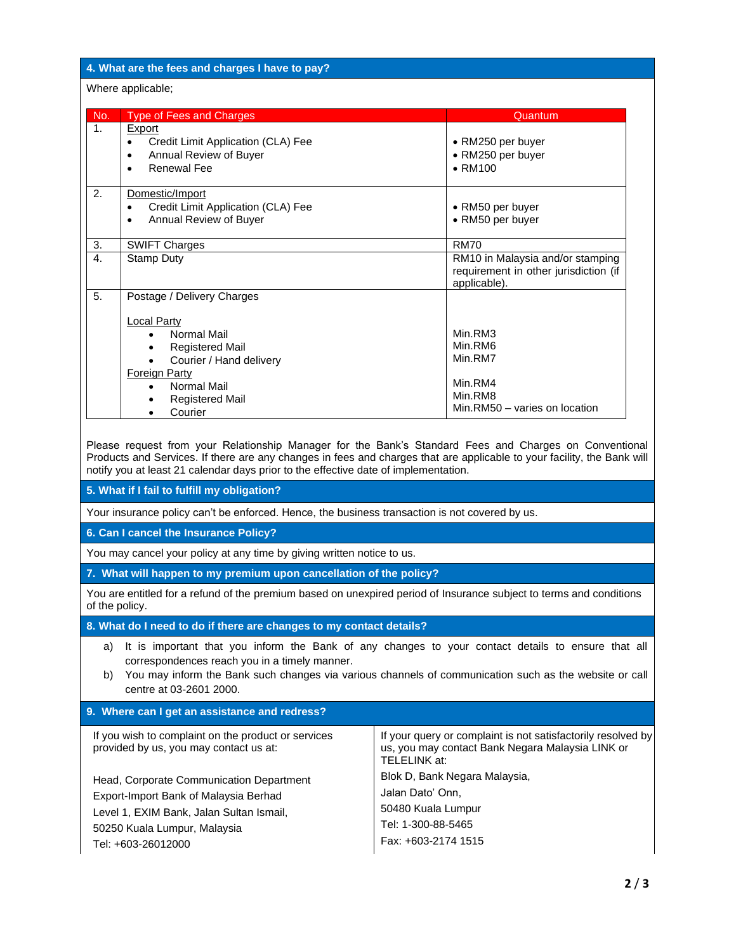#### **4. What are the fees and charges I have to pay?**

#### Where applicable;

| No. | <b>Type of Fees and Charges</b>                                                                                               | Quantum                                                                                   |
|-----|-------------------------------------------------------------------------------------------------------------------------------|-------------------------------------------------------------------------------------------|
| 1.  | <b>Export</b><br>Credit Limit Application (CLA) Fee<br>$\bullet$<br>Annual Review of Buyer<br>$\bullet$<br><b>Renewal Fee</b> | • RM250 per buyer<br>• RM250 per buyer<br>$\bullet$ RM100                                 |
| 2.  | Domestic/Import<br>Credit Limit Application (CLA) Fee<br>$\bullet$<br>Annual Review of Buyer<br>٠                             | • RM50 per buyer<br>• RM50 per buyer                                                      |
| 3.  | <b>SWIFT Charges</b>                                                                                                          | <b>RM70</b>                                                                               |
| 4.  | <b>Stamp Duty</b>                                                                                                             | RM10 in Malaysia and/or stamping<br>requirement in other jurisdiction (if<br>applicable). |
| 5.  | Postage / Delivery Charges                                                                                                    |                                                                                           |
|     | Local Party<br>Normal Mail<br>$\bullet$<br><b>Registered Mail</b><br>٠<br>Courier / Hand delivery                             | Min.RM3<br>Min.RM6<br>Min.RM7                                                             |
|     | <b>Foreign Party</b><br>Normal Mail<br>$\bullet$<br><b>Registered Mail</b><br>٠<br>Courier                                    | Min.RM4<br>Min.RM8<br>Min.RM50 - varies on location                                       |

Please request from your Relationship Manager for the Bank's Standard Fees and Charges on Conventional Products and Services. If there are any changes in fees and charges that are applicable to your facility, the Bank will notify you at least 21 calendar days prior to the effective date of implementation.

**5. What if I fail to fulfill my obligation?**

Your insurance policy can't be enforced. Hence, the business transaction is not covered by us.

**6. Can I cancel the Insurance Policy?**

You may cancel your policy at any time by giving written notice to us.

**7. What will happen to my premium upon cancellation of the policy?**

You are entitled for a refund of the premium based on unexpired period of Insurance subject to terms and conditions of the policy.

**8. What do I need to do if there are changes to my contact details?**

- a) It is important that you inform the Bank of any changes to your contact details to ensure that all correspondences reach you in a timely manner.
- b) You may inform the Bank such changes via various channels of communication such as the website or call centre at 03-2601 2000.

#### **9. Where can I get an assistance and redress?**

| If you wish to complaint on the product or services<br>provided by us, you may contact us at:                                                                 | If your query or complaint is not satisfactorily resolved by<br>us, you may contact Bank Negara Malaysia LINK or<br>TELELINK at: |
|---------------------------------------------------------------------------------------------------------------------------------------------------------------|----------------------------------------------------------------------------------------------------------------------------------|
| Head, Corporate Communication Department<br>Export-Import Bank of Malaysia Berhad<br>Level 1, EXIM Bank, Jalan Sultan Ismail,<br>50250 Kuala Lumpur, Malaysia | Blok D, Bank Negara Malaysia,<br>Jalan Dato' Onn,<br>50480 Kuala Lumpur<br>Tel: 1-300-88-5465                                    |
| Tel: +603-26012000                                                                                                                                            | Fax: +603-2174 1515                                                                                                              |